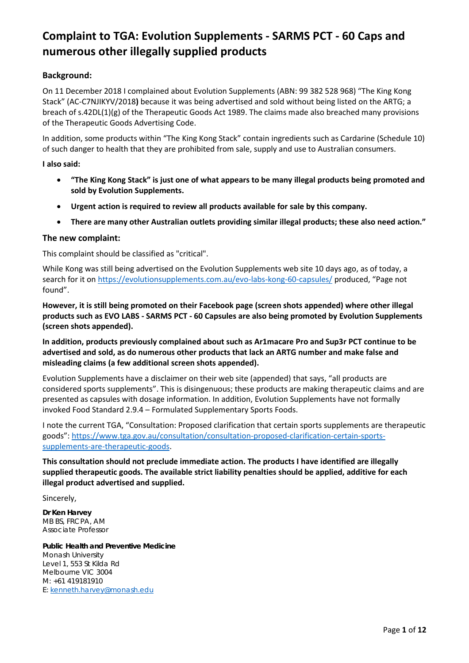#### **Background:**

On 11 December 2018 I complained about Evolution Supplements (ABN: 99 382 528 968) "The King Kong Stack" (AC-C7NJIKYV/2018**)** because it was being advertised and sold without being listed on the ARTG; a breach of s.42DL(1)(g) of the Therapeutic Goods Act 1989. The claims made also breached many provisions of the Therapeutic Goods Advertising Code.

In addition, some products within "The King Kong Stack" contain ingredients such as Cardarine (Schedule 10) of such danger to health that they are prohibited from sale, supply and use to Australian consumers.

#### **I also said:**

- **"The King Kong Stack" is just one of what appears to be many illegal products being promoted and sold by Evolution Supplements.**
- **Urgent action is required to review all products available for sale by this company.**
- **There are many other Australian outlets providing similar illegal products; these also need action."**

#### **The new complaint:**

This complaint should be classified as "critical".

While Kong was still being advertised on the Evolution Supplements web site 10 days ago, as of today, a search for it on<https://evolutionsupplements.com.au/evo-labs-kong-60-capsules/> produced, "Page not found".

**However, it is still being promoted on their Facebook page (screen shots appended) where other illegal products such as EVO LABS - SARMS PCT - 60 Capsules are also being promoted by Evolution Supplements (screen shots appended).**

**In addition, products previously complained about such as Ar1macare Pro and Sup3r PCT continue to be advertised and sold, as do numerous other products that lack an ARTG number and make false and misleading claims (a few additional screen shots appended).**

Evolution Supplements have a disclaimer on their web site (appended) that says, "all products are considered sports supplements". This is disingenuous; these products are making therapeutic claims and are presented as capsules with dosage information. In addition, Evolution Supplements have not formally invoked Food Standard 2.9.4 – Formulated Supplementary Sports Foods.

I note the current TGA, "Consultation: Proposed clarification that certain sports supplements are therapeutic goods": [https://www.tga.gov.au/consultation/consultation-proposed-clarification-certain-sports](https://www.tga.gov.au/consultation/consultation-proposed-clarification-certain-sports-supplements-are-therapeutic-goods)[supplements-are-therapeutic-goods.](https://www.tga.gov.au/consultation/consultation-proposed-clarification-certain-sports-supplements-are-therapeutic-goods)

**This consultation should not preclude immediate action. The products I have identified are illegally supplied therapeutic goods. The available strict liability penalties should be applied, additive for each illegal product advertised and supplied.** 

Sincerely,

**Dr Ken Harvey**  MB BS, FRCPA, AM Associate Professor

**Public Health and Preventive Medicine** Monash University Level 1, 553 St Kilda Rd Melbourne VIC 3004 M: +61 419181910 E: [kenneth.harvey@monash.edu](mailto:kenneth.harvey@monash.edu)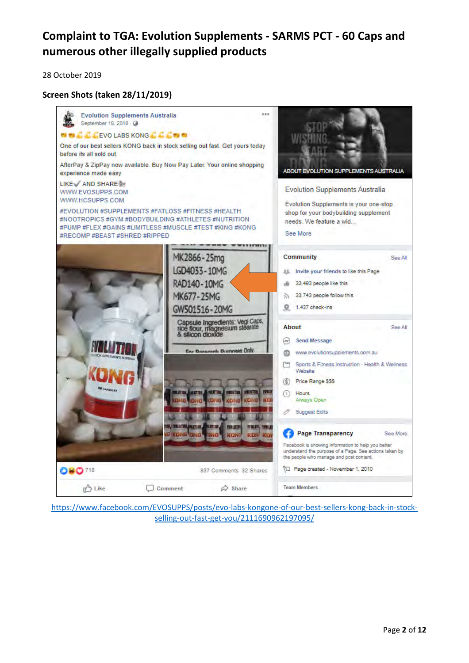28 October 2019

#### **Screen Shots (taken 28/11/2019)**



[https://www.facebook.com/EVOSUPPS/posts/evo-labs-kongone-of-our-best-sellers-kong-back-in-stock](https://www.facebook.com/EVOSUPPS/posts/evo-labs-kongone-of-our-best-sellers-kong-back-in-stock-selling-out-fast-get-you/2111690962197095/)[selling-out-fast-get-you/2111690962197095/](https://www.facebook.com/EVOSUPPS/posts/evo-labs-kongone-of-our-best-sellers-kong-back-in-stock-selling-out-fast-get-you/2111690962197095/)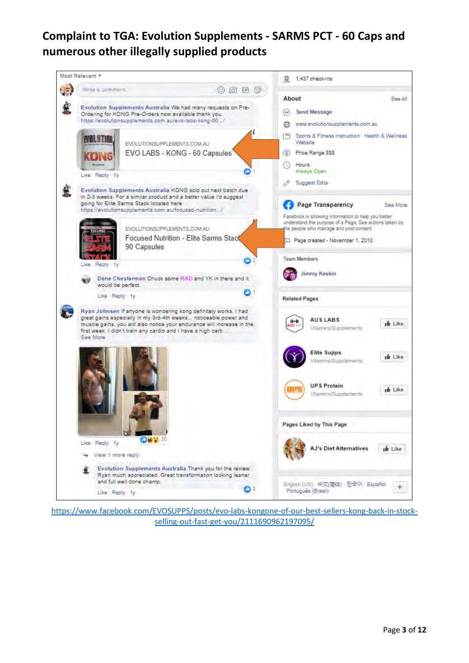

[https://www.facebook.com/EVOSUPPS/posts/evo-labs-kongone-of-our-best-sellers-kong-back-in-stock](https://www.facebook.com/EVOSUPPS/posts/evo-labs-kongone-of-our-best-sellers-kong-back-in-stock-selling-out-fast-get-you/2111690962197095/)[selling-out-fast-get-you/2111690962197095/](https://www.facebook.com/EVOSUPPS/posts/evo-labs-kongone-of-our-best-sellers-kong-back-in-stock-selling-out-fast-get-you/2111690962197095/)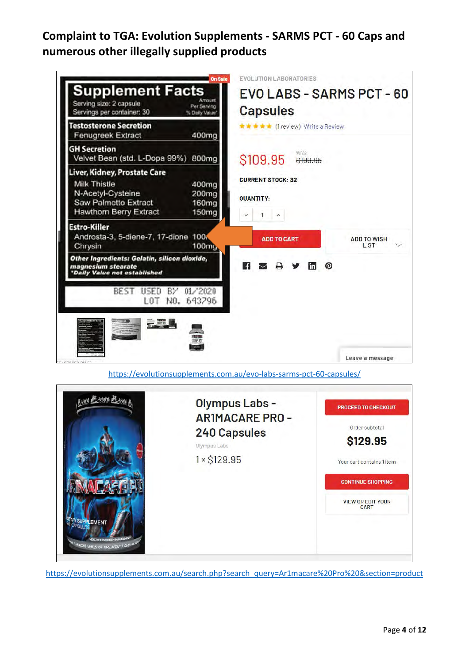

<https://evolutionsupplements.com.au/evo-labs-sarms-pct-60-capsules/>



[https://evolutionsupplements.com.au/search.php?search\\_query=Ar1macare%20Pro%20&section=product](https://evolutionsupplements.com.au/search.php?search_query=Ar1macare%20Pro%20§ion=product)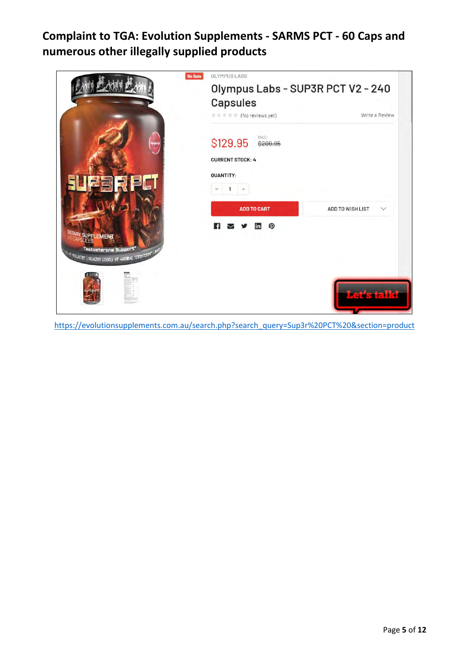

[https://evolutionsupplements.com.au/search.php?search\\_query=Sup3r%20PCT%20&section=product](https://evolutionsupplements.com.au/search.php?search_query=Sup3r%20PCT%20§ion=product)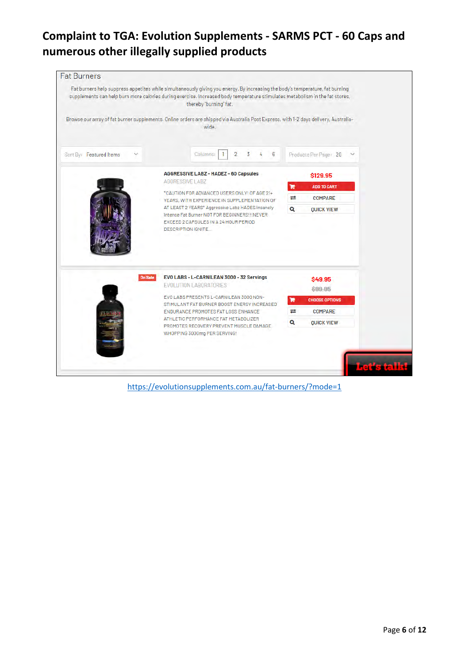|                         | Fat burners help suppress appetites while simultaneously giving you energy. By increasing the body's temperature, fat burning<br>supplements can help burn more calories during exercise. Increased body temperature stimulates metabolism in the fat stores,<br>thereby "burning" fat.                                             |                                 |
|-------------------------|-------------------------------------------------------------------------------------------------------------------------------------------------------------------------------------------------------------------------------------------------------------------------------------------------------------------------------------|---------------------------------|
|                         | Browse our array of fat burner supplements. Online orders are shipped via Australia Post Express, with 1-2 days delivery, Australia-<br>wide.                                                                                                                                                                                       |                                 |
| Sort By: Featured Items | Columns:<br>$\overline{2}$<br>6<br>3<br>r                                                                                                                                                                                                                                                                                           | Products Per Page: 20<br>$\sim$ |
|                         | <b>AGGRESSIVE LABZ - HADEZ - 60 Capsules</b><br>AGGRESSIVE LABZ<br>*CAUTION FOR ADVANCED USERS ONLY! OF AGE 21+<br>YEARS, WITH EXPERIENCE IN SUPPLEMENTATION OF<br>AT LEAST 2 YEARS* Aggressive Labz HADES Insanely<br>Intense Fat Burner NOT FOR BEGINNERS!!!NEVER<br>EXCEED 2 CAPSULES IN A 24 HOUR PERIOD.<br>DESCRIPTION IGNITE | \$129.95                        |
|                         |                                                                                                                                                                                                                                                                                                                                     | e<br><b>ADD TO CART</b>         |
|                         |                                                                                                                                                                                                                                                                                                                                     | ≓<br><b>COMPARE</b><br>$\alpha$ |
|                         |                                                                                                                                                                                                                                                                                                                                     |                                 |
| <b>On Sale</b>          | EVO LABS - L-CARNILEAN 3000 - 32 Servings                                                                                                                                                                                                                                                                                           | \$49.95                         |
|                         | <b>EVOLUTION LABORATORIES</b>                                                                                                                                                                                                                                                                                                       | \$99.95                         |
|                         | EVO LABS PRESENTS L-CARNILEAN 3000 NON-<br>STIMULANT FAT BURNER BOOST ENERGY INCREASED                                                                                                                                                                                                                                              | <b>CHOOSE OPTIONS</b><br>е      |
|                         | ENDURANCE PROMOTES FAT LOSS ENHANCE                                                                                                                                                                                                                                                                                                 | $\equiv$<br><b>COMPARE</b>      |
|                         | ATHLETIC PERFORMANCE FAT METABOLIZER<br>PROMOTES RECOVERY PREVENT MUSCLE DAMAGE<br>WHOPPING 3000mg PER SERVING!                                                                                                                                                                                                                     | Q<br><b>QUICK VIEW</b>          |

<https://evolutionsupplements.com.au/fat-burners/?mode=1>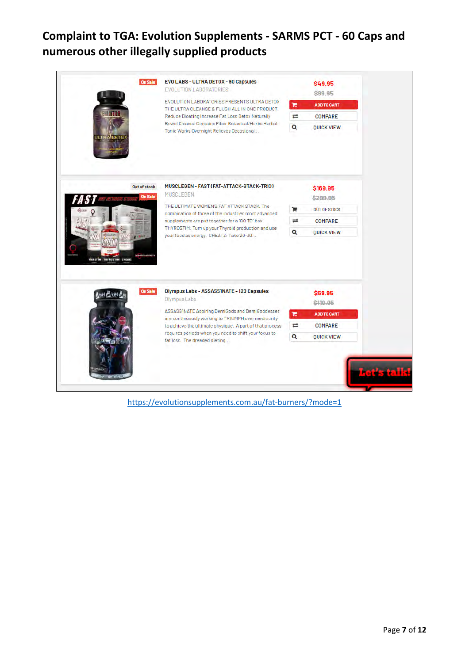

<https://evolutionsupplements.com.au/fat-burners/?mode=1>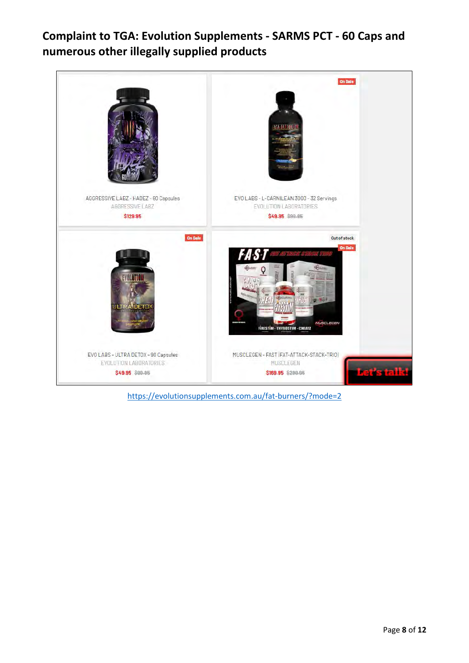

<https://evolutionsupplements.com.au/fat-burners/?mode=2>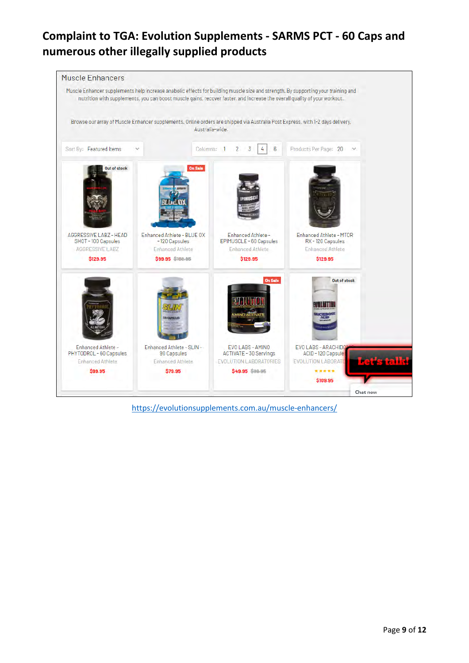

<https://evolutionsupplements.com.au/muscle-enhancers/>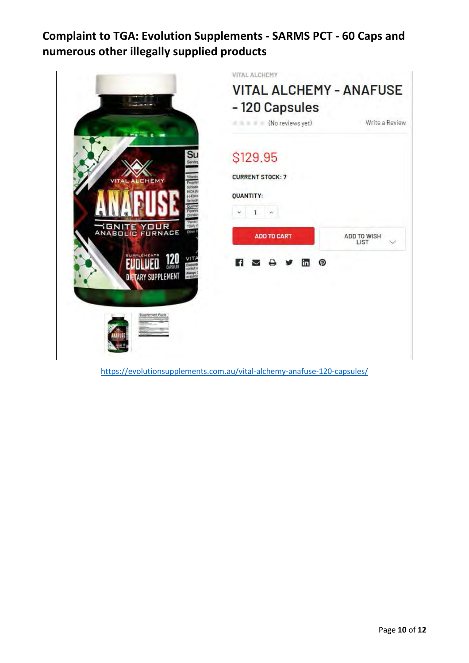

<https://evolutionsupplements.com.au/vital-alchemy-anafuse-120-capsules/>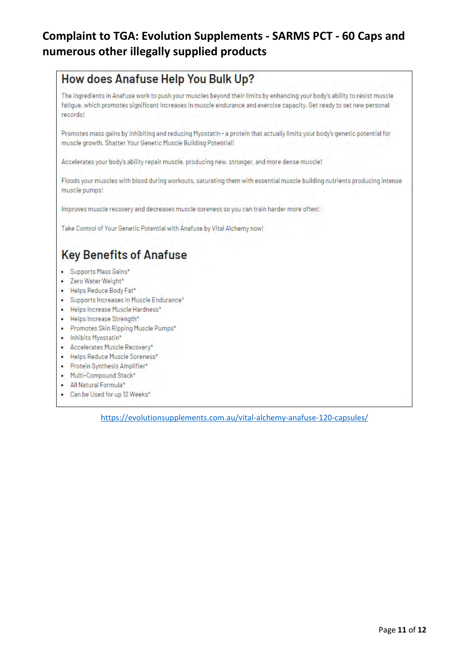# How does Anafuse Help You Bulk Up?

The ingredients in Anafuse work to push your muscles beyond their limits by enhancing your body's ability to resist muscle fatigue, which promotes significant increases in muscle endurance and exercise capacity. Get ready to set new personal records!

Promotes mass gains by inhibiting and reducing Myostatin - a protein that actually limits your body's genetic potential for muscle growth. Shatter Your Genetic Muscle Building Potential!

Accelerates your body's ability repair muscle, producing new, stronger, and more dense muscle!

Floods your muscles with blood during workouts, saturating them with essential muscle building nutrients producing intense muscle pumps!

Improves muscle recovery and decreases muscle soreness so you can train harder more often!

Take Control of Your Genetic Potential with Anafuse by Vital Alchemy now!

# **Key Benefits of Anafuse**

- · Supports Mass Gains\*
- · Zero Water Weight\*
- · Helps Reduce Body Fat\*
- · Supports Increases in Muscle Endurance\*
- · Helps Increase Muscle Hardness\*
- Helps Increase Strength\*
- · Promotes Skin Ripping Muscle Pumps\*
- · Inhibits Myostatin\*
- Accelerates Muscle Recovery\*
- · Helps Reduce Muscle Soreness\*
- · Protein Synthesis Amplifier\*
- . Multi-Compound Stack\*
- · All Natural Formula\*
- Can be Used for up 12 Weeks\*

<https://evolutionsupplements.com.au/vital-alchemy-anafuse-120-capsules/>